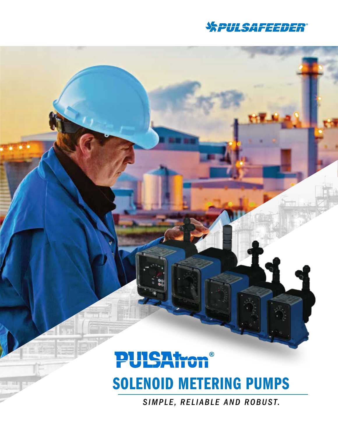

## **PUISAtx**  $\circledR$ SOLENOID METERING PUMPS

*SIMPLE, RELIABLE AND ROBUST.*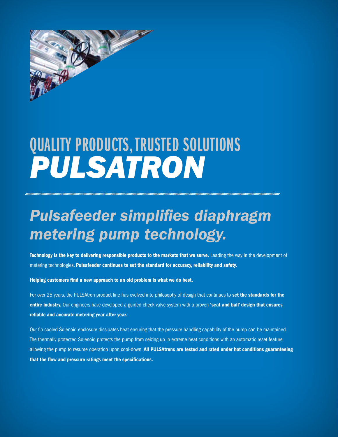

# QUALITY PRODUCTS, TRUSTED SOLUTIONS *PULSATRON*

## *Pulsafeeder simplifies diaphragm metering pump technology.*

Technology is the key to delivering responsible products to the markets that we serve. Leading the way in the development of metering technologies, Pulsafeeder continues to set the standard for accuracy, reliability and safety.

Helping customers find a new approach to an old problem is what we do best.

For over 25 years, the PULSAtron product line has evolved into philosophy of design that continues to set the standards for the entire industry. Our engineers have developed a guided check valve system with a proven 'seat and ball' design that ensures reliable and accurate metering year after year.

Our fin cooled Solenoid enclosure dissipates heat ensuring that the pressure handling capability of the pump can be maintained. The thermally protected Solenoid protects the pump from seizing up in extreme heat conditions with an automatic reset feature allowing the pump to resume operation upon cool-down. All PULSAtrons are tested and rated under hot conditions guaranteeing that the flow and pressure ratings meet the specifications.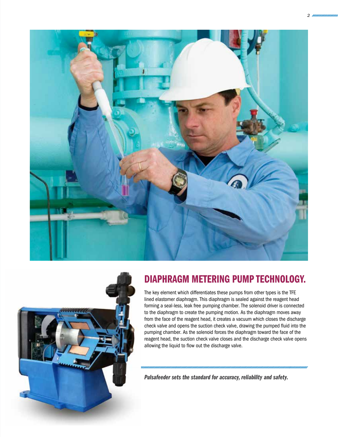



### DIAPHRAGM METERING PUMP TECHNOLOGY.

The key element which differentiates these pumps from other types is the TFE lined elastomer diaphragm. This diaphragm is sealed against the reagent head forming a seal-less, leak free pumping chamber. The solenoid driver is connected to the diaphragm to create the pumping motion. As the diaphragm moves away from the face of the reagent head, it creates a vacuum which closes the discharge check valve and opens the suction check valve, drawing the pumped fluid into the pumping chamber. As the solenoid forces the diaphragm toward the face of the reagent head, the suction check valve closes and the discharge check valve opens allowing the liquid to flow out the discharge valve.

*Pulsafeeder sets the standard for accuracy, reliability and safety.*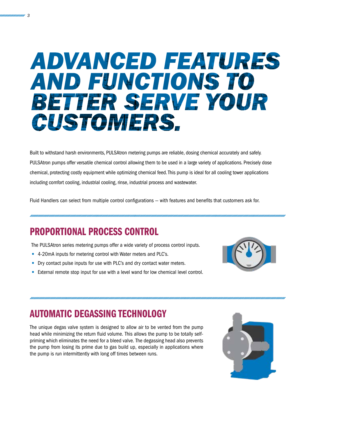# ADVANCED FEATURES **AND FUNCTIONS TO** BETTER SERVE YOUR **CUSTOMERS.**

Built to withstand harsh environments, PULSAtron metering pumps are reliable, dosing chemical accurately and safely. PULSAtron pumps offer versatile chemical control allowing them to be used in a large variety of applications. Precisely dose chemical, protecting costly equipment while optimizing chemical feed. This pump is ideal for all cooling tower applications including comfort cooling, industrial cooling, rinse, industrial process and wastewater.

Fluid Handlers can select from multiple control configurations — with features and benefits that customers ask for.

### PROPORTIONAL PROCESS CONTROL

The PULSAtron series metering pumps offer a wide variety of process control inputs.

- 4-20mA inputs for metering control with Water meters and PLC's.
- Dry contact pulse inputs for use with PLC's and dry contact water meters.
- External remote stop input for use with a level wand for low chemical level control.



### AUTOMATIC DEGASSING TECHNOLOGY

The unique degas valve system is designed to allow air to be vented from the pump head while minimizing the return fluid volume. This allows the pump to be totally selfpriming which eliminates the need for a bleed valve. The degassing head also prevents the pump from losing its prime due to gas build up, especially in applications where the pump is run intermittently with long off times between runs.

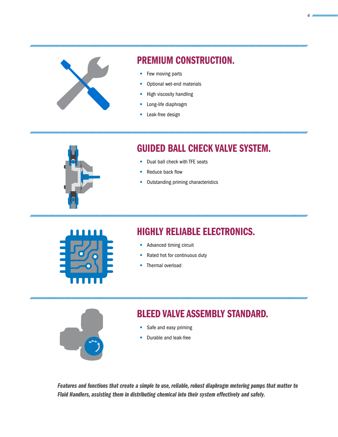

### PREMIUM CONSTRUCTION.

- Few moving parts
- Optional wet-end materials
- High viscosity handling
- Long-life diaphragm
- Leak-free design



### GUIDED BALL CHECK VALVE SYSTEM.

- Dual ball check with TFE seats
- Reduce back flow
- Outstanding priming characteristics



### HIGHLY RELIABLE ELECTRONICS.

- Advanced timing circuit
- Rated hot for continuous duty
- Thermal overload



### BLEED VALVE ASSEMBLY STANDARD.

- Safe and easy priming
- Durable and leak-free

*Features and functions that create a simple to use, reliable, robust diaphragm metering pumps that matter to Fluid Handlers, assisting them in distributing chemical into their system effectively and safely.*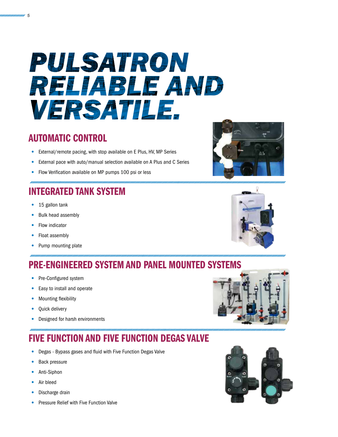# PULSATRON RELIABLE AND **VERSATILE.**

### AUTOMATIC CONTROL

- External/remote pacing, with stop available on E Plus, HV, MP Series
- External pace with auto/manual selection available on A Plus and C Series
- Flow Verification available on MP pumps 100 psi or less

## INTEGRATED TANK SYSTEM

- 15 gallon tank
- Bulk head assembly
- Flow indicator
- Float assembly
- Pump mounting plate

## PRE-ENGINEERED SYSTEM AND PANEL MOUNTED SYSTEMS

- Pre-Configured system
- Easy to install and operate
- Mounting flexibility
- Quick delivery
- Designed for harsh environments

## FIVE FUNCTION AND FIVE FUNCTION DEGAS VALVE

- Degas Bypass gases and fluid with Five Function Degas Valve
- Back pressure
- Anti-Siphon
- Air bleed
- Discharge drain
- Pressure Relief with Five Function Valve









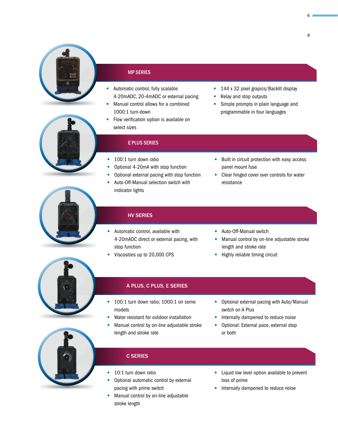

#### MP SERIES

- Automatic control, fully scalable 4-20mADC, 20-4mADC or external pacing
- Manual control allows for a combined 1000:1 turn-down
- Flow verification option is available on select sizes
- 144 x 32 pixel grapics/Backlit display
- Relay and stop outputs
- Simple prompts in plain language and programmable in four languages



### E PLUS SERIES

- 100:1 turn down ratio
- Optional 4-20mA with stop function
- Optional external pacing with stop function
- Auto-Off-Manual selection switch with indicator lights
- Built in circuit protection with easy access panel mount fuse
- Clear hinged cover over controls for water resistance



#### HV SERIES

- Automatic control, available with 4-20mADC direct or external pacing, with stop function
- Viscosities up to 20,000 CPS
- Auto-Off-Manual switch
- Manual control by on-line adjustable stroke length and stroke rate
- Highly reliable timing circuit



### A PLUS, C PLUS, E SERIES

- 100:1 turn down ratio; 1000:1 on some models
- Water resistant for outdoor installation
- Manual control by on-line adjustable stroke length and stroke rate
- Optional external pacing with Auto/Manual switch on A Plus
- Internally dampened to reduce noise
- Optional: External pace, external stop or both



### C SERIES

- 10:1 turn down ratio
- Optional automatic control by external pacing with prime switch
- Manual control by on-line adjustable stroke length
- Liquid low level option available to prevent loss of prime
- Internally dampened to reduce noise

 $6$  *mummmmm*